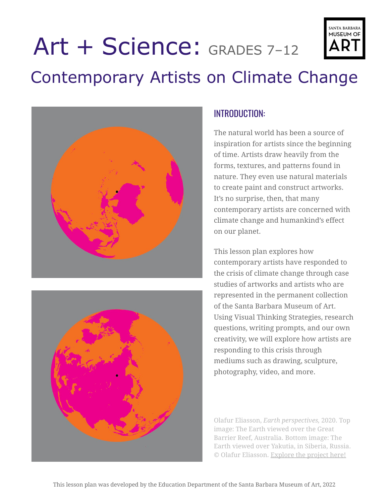#### The natural world has been a source of inspiration for artists since the beginning of time. Artists draw heavily from the

Contemporary Artists on Climate Change

INTRODUCTION:

forms, textures, and patterns found in nature. They even use natural materials to create paint and construct artworks. It's no surprise, then, that many contemporary artists are concerned with climate change and humankind's effect on our planet.

This lesson plan explores how contemporary artists have responded to the crisis of climate change through case studies of artworks and artists who are represented in the permanent collection of the Santa Barbara Museum of Art. Using Visual Thinking Strategies, research questions, writing prompts, and our own creativity, we will explore how artists are responding to this crisis through mediums such as drawing, sculpture, photography, video, and more.

Olafur Eliasson, *Earth perspectives,* 2020. Top image: The Earth viewed over the Great Barrier Reef, Australia. Bottom image: The Earth viewed over Yakutia, in Siberia, Russia. © Olafur Eliasson. [Explore](https://olafureliasson.net/press/earthperspectives) the project here!

# Art + Science: GRADES 7–12





# **SANTA BARBARA** MUSEUM OF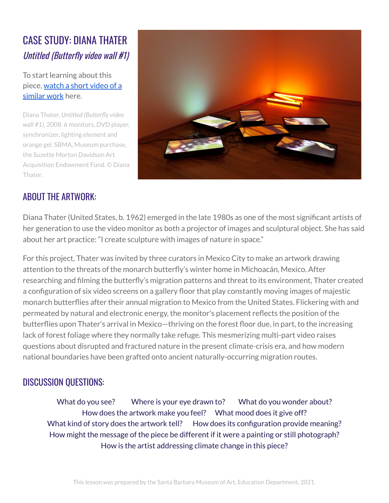# CASE STUDY: DIANA THATER Untitled (Butterfly video wall #1)

To start learning about this piece, [watch](https://vimeo.com/181211712) a short video of a [similar](https://vimeo.com/181211712) work here.

Diana Thater, *Untitled (Butterfly video wall #1),* 2008. 6 monitors, DVD player, synchronizer, lighting element and orange gel. SBMA, Museum purchase, the Suzette Morton Davidson Art Acquisition Endowment Fund. © Diana Thater.



#### ABOUT THE ARTWORK:

Diana Thater (United States, b. 1962) emerged in the late 1980s as one of the most significant artists of her generation to use the video monitor as both a projector of images and sculptural object. She has said about her art practice: "I create sculpture with images of nature in space."

For this project, Thater was invited by three curators in Mexico City to make an artwork drawing attention to the threats of the monarch butterfly's winter home in Michoacán, Mexico. After researching and filming the butterfly's migration patterns and threat to its environment, Thater created a configuration of six video screens on a gallery floor that play constantly moving images of majestic monarch butterflies after their annual migration to Mexico from the United States. Flickering with and permeated by natural and electronic energy, the monitor's placement reflects the position of the butterflies upon Thater's arrival in Mexico—thriving on the forest floor due, in part, to the increasing lack of forest foliage where they normally take refuge. This mesmerizing multi-part video raises questions about disrupted and fractured nature in the present climate-crisis era, and how modern national boundaries have been grafted onto ancient naturally-occurring migration routes.

#### DISCUSSION QUESTIONS:

What do you see? Where is your eye drawn to? What do you wonder about? How does the artwork make you feel? What mood does it give off? What kind of story does the artwork tell? How does its configuration provide meaning? How might the message of the piece be different if it were a painting or still photograph? How is the artist addressing climate change in this piece?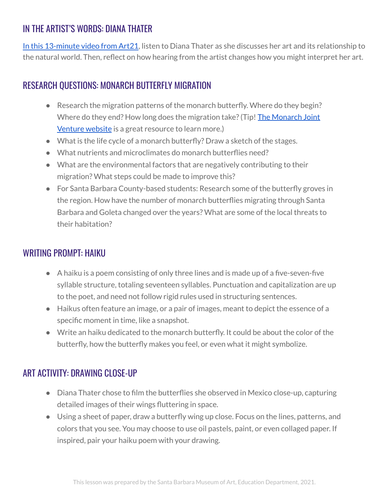# IN THE ARTIST'S WORDS: DIANA THATER

In this [13-minute](https://art21.org/watch/art-in-the-twenty-first-century/s8/diana-thater-in-los-angeles-segment/) video from Art21, listen to Diana Thater as she discusses her art and its relationship to the natural world. Then, reflect on how hearing from the artist changes how you might interpret her art.

#### RESEARCH QUESTIONS: MONARCH BUTTERFLY MIGRATION

- Research the migration patterns of the monarch butterfly. Where do they begin? Where do they end? How long does the migration take? (Tip! The [Monarch](https://monarchjointventure.org/) Joint [Venture](https://monarchjointventure.org/) website is a great resource to learn more.)
- What is the life cycle of a monarch butterfly? Draw a sketch of the stages.
- What nutrients and microclimates do monarch butterflies need?
- What are the environmental factors that are negatively contributing to their migration? What steps could be made to improve this?
- For Santa Barbara County-based students: Research some of the butterfly groves in the region. How have the number of monarch butterflies migrating through Santa Barbara and Goleta changed over the years? What are some of the local threats to their habitation?

#### WRITING PROMPT: HAIKU

- A haiku is a poem consisting of only three lines and is made up of a five-seven-five syllable structure, totaling seventeen syllables. Punctuation and capitalization are up to the poet, and need not follow rigid rules used in structuring sentences.
- Haikus often feature an image, or a pair of images, meant to depict the essence of a specific moment in time, like a snapshot.
- Write an haiku dedicated to the monarch butterfly. It could be about the color of the butterfly, how the butterfly makes you feel, or even what it might symbolize.

## ART ACTIVITY: DRAWING CLOSE-UP

- Diana Thater chose to film the butterflies she observed in Mexico close-up, capturing detailed images of their wings fluttering in space.
- Using a sheet of paper, draw a butterfly wing up close. Focus on the lines, patterns, and colors that you see. You may choose to use oil pastels, paint, or even collaged paper. If inspired, pair your haiku poem with your drawing.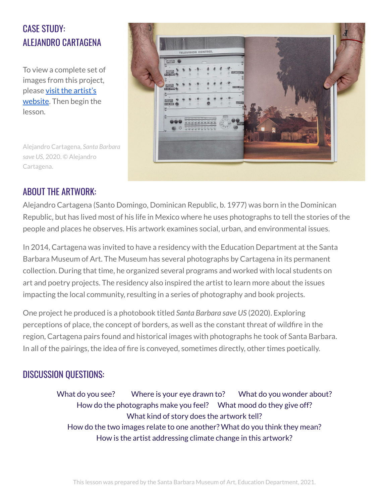# CASE STUDY: ALEJANDRO CARTAGENA

To view a complete set of images from this project, please visit the [artist's](https://alejandrocartagena.com/project-type/projects/?slug=santa-barbara-save-us) [website](https://alejandrocartagena.com/project-type/projects/?slug=santa-barbara-save-us). Then begin the lesson.

Alejandro Cartagena, *Santa Barbara save US,* 2020. © Alejandro Cartagena.



## ABOUT THE ARTWORK:

Alejandro Cartagena (Santo Domingo, Dominican Republic, b. 1977) was born in the Dominican Republic, but has lived most of his life in Mexico where he uses photographs to tell the stories of the people and places he observes. His artwork examines social, urban, and environmental issues.

In 2014, Cartagena was invited to have a residency with the Education Department at the Santa Barbara Museum of Art. The Museum has several photographs by Cartagena in its permanent collection. During that time, he organized several programs and worked with local students on art and poetry projects. The residency also inspired the artist to learn more about the issues impacting the local community, resulting in a series of photography and book projects.

One project he produced is a photobook titled *Santa Barbara save US* (2020). Exploring perceptions of place, the concept of borders, as well as the constant threat of wildfire in the region, Cartagena pairs found and historical images with photographs he took of Santa Barbara. In all of the pairings, the idea of fire is conveyed, sometimes directly, other times poetically.

## DISCUSSION QUESTIONS:

What do you see? Where is your eye drawn to? What do you wonder about? How do the photographs make you feel? What mood do they give off? What kind of story does the artwork tell? How do the two images relate to one another? What do you think they mean? How is the artist addressing climate change in this artwork?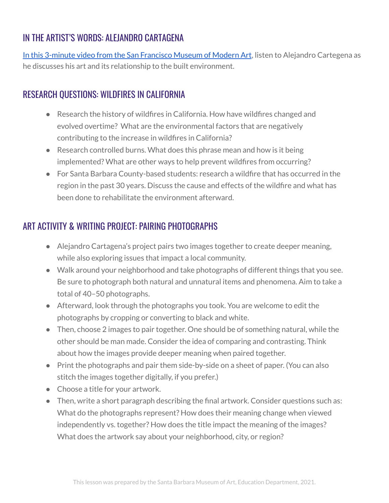# IN THE ARTIST'S WORDS: ALEJANDRO CARTAGENA

In this 3-minute video from the San [Francisco](https://www.youtube.com/watch?v=9bIQALS5QdI&ab_channel=SanFranciscoMuseumofModernArt) Museum of Modern Art, listen to Alejandro Cartegena as he discusses his art and its relationship to the built environment.

#### RESEARCH QUESTIONS: WILDFIRES IN CALIFORNIA

- Research the history of wildfires in California. How have wildfires changed and evolved overtime? What are the environmental factors that are negatively contributing to the increase in wildfires in California?
- Research controlled burns. What does this phrase mean and how is it being implemented? What are other ways to help prevent wildfires from occurring?
- For Santa Barbara County-based students: research a wildfire that has occurred in the region in the past 30 years. Discuss the cause and effects of the wildfire and what has been done to rehabilitate the environment afterward.

# ART ACTIVITY & WRITING PROJECT: PAIRING PHOTOGRAPHS

- Alejandro Cartagena's project pairs two images together to create deeper meaning, while also exploring issues that impact a local community.
- Walk around your neighborhood and take photographs of different things that you see. Be sure to photograph both natural and unnatural items and phenomena. Aim to take a total of 40–50 photographs.
- Afterward, look through the photographs you took. You are welcome to edit the photographs by cropping or converting to black and white.
- Then, choose 2 images to pair together. One should be of something natural, while the other should be man made. Consider the idea of comparing and contrasting. Think about how the images provide deeper meaning when paired together.
- Print the photographs and pair them side-by-side on a sheet of paper. (You can also stitch the images together digitally, if you prefer.)
- Choose a title for your artwork.
- Then, write a short paragraph describing the final artwork. Consider questions such as: What do the photographs represent? How does their meaning change when viewed independently vs. together? How does the title impact the meaning of the images? What does the artwork say about your neighborhood, city, or region?